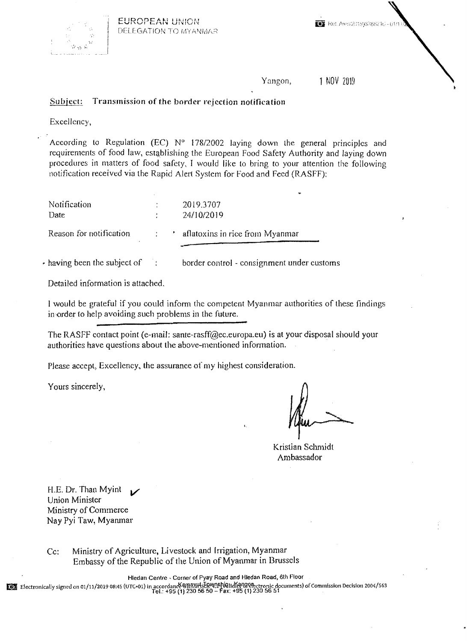

Yangon, 1 NOV 2019

## Subject: Transmission of **the** border rejection notification

Excellency,

According to Regulation (EC)  $N^{\circ}$  178/2002 laying down the general principles and requirements of food law, estqblishing the European Food Safety Authority and laying down procedures in matters of food safety, I would like to bring to your attention the following notification received via the Rapid Alert System for Food and Feed (RASFF):

| Notification<br>Date          |  | 2019.3707<br>24/10/2019           |
|-------------------------------|--|-----------------------------------|
| Reason for notification<br>×. |  | * aflatoxins in rice from Myanmar |

• having been the subject of control - consignment under customs

Detailed information is attached.

I would be grateful if you could inform the competent Myanmar authorities of these findings in order to help avoiding such problems in the future.

The RASFf contact point (e-mail: sante-rasff@ec.europa.eu) is at your disposal should your authorities have questions about the above-mentioned information.

Please accept, Excellency, the assurance of my highest consideration.

Yours sincerely,

Kristian Schmidt Ambassador

H.E. Dr. Than Myint Union Minister Ministry of Commerce Nay Pyi Taw, Myanmar

Cc: Ministry of Agriculture, Livestock and Irrigation, Myanmar Embassy of the Republic of the Union of Myanmar in Brussels

Hledan Centre, Corner of Pyay Road and Hledan Road, 6th Floor

L

ED Electronically signed on 01/11/2019 08:45 (UTC+01) in accordance AMAXILLIE WORNAHIdKANA Obecuments) of Commission Decision 2004/563 [1] 230 56 50 - Fax: +95 (1) 230 56 51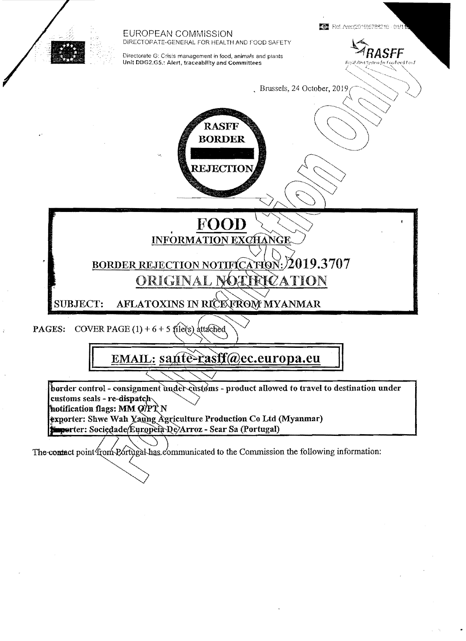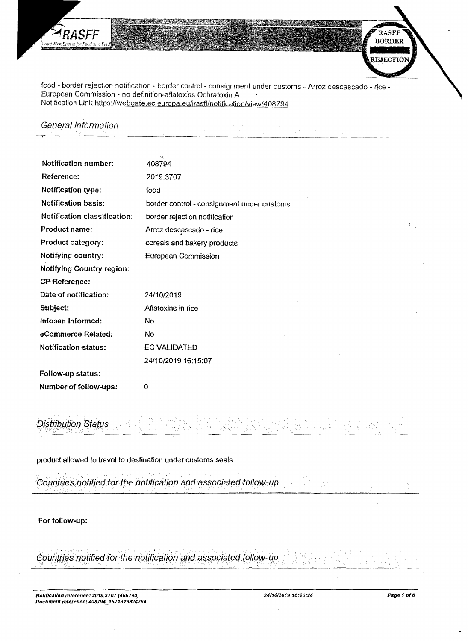

food - border rejection notification - border control - consignment under customs - Arroz descascado - rice -European Commission - no definition-aflatoxins Ochratoxin A Notification Link https://webgate.ec.europa.eu/irasff/notification/view/408794

General Information

| Notification number:                | 408794                                     |  |  |
|-------------------------------------|--------------------------------------------|--|--|
| Reference:                          | 2019,3707                                  |  |  |
| Notification type:                  | food                                       |  |  |
| <b>Notification basis:</b>          | border control - consignment under customs |  |  |
| <b>Notification classification:</b> | border rejection notification              |  |  |
| Product name:                       | Arroz descascado - rice                    |  |  |
| Product category:                   | cereals and bakery products                |  |  |
| Notifying country:                  | <b>European Commission</b>                 |  |  |
| <b>Notifying Country region:</b>    |                                            |  |  |
| <b>CP-Reference:</b>                |                                            |  |  |
| Date of notification:               | 24/10/2019                                 |  |  |
| Subject:                            | Aflatoxins in rice                         |  |  |
| Infosan Informed:                   | No                                         |  |  |
| eCommerce Related:                  | No                                         |  |  |
| <b>Notification status:</b>         | <b>EC VALIDATED</b>                        |  |  |
|                                     | 24/10/2019 16:15:07                        |  |  |
| Follow-up status:                   |                                            |  |  |
| Number of follow-ups:               | 0                                          |  |  |

# **Distribution Status**

product allowed to travel to destination under customs seals

Countries notified for the notification and associated follow-up

For follow-up:

Countries notified for the notification and associated follow-up

RASFF **BORDER** 

**REJECTIO**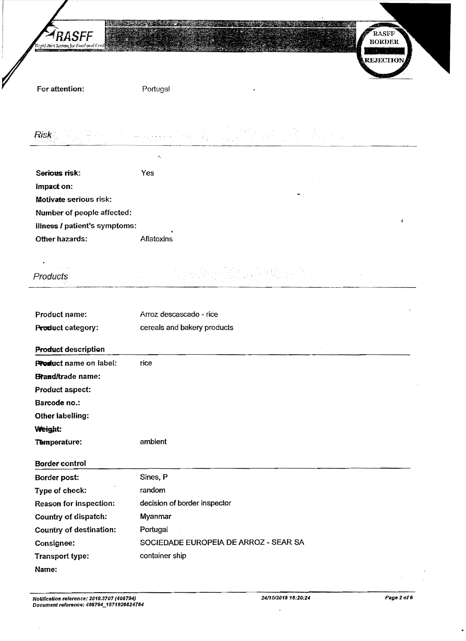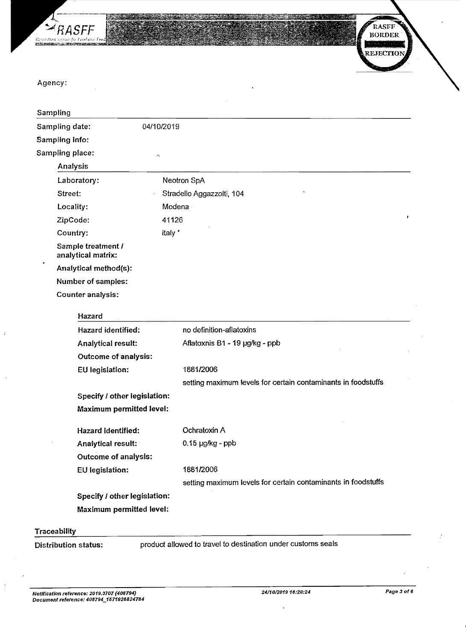

æ Õ RASFF **BORDER Report Follows REJECTIO** 

Agency:

| Sampling        |                                          |                                                               |
|-----------------|------------------------------------------|---------------------------------------------------------------|
| Sampling date:  | 04/10/2019                               |                                                               |
| Sampling info:  |                                          |                                                               |
| Sampling place: | ы,                                       |                                                               |
| Analysis        |                                          |                                                               |
| Laboratory:     |                                          | Neotron SpA                                                   |
| Street:         |                                          | Stradello Aggazzolti, 104                                     |
| Locality:       |                                          | Modena                                                        |
| ZipCode:        |                                          | ŧ<br>41126                                                    |
| Country:        |                                          | italy *                                                       |
|                 | Sample treatment /<br>analytical matrix: |                                                               |
|                 | Analytical method(s):                    |                                                               |
|                 | Number of samples:                       |                                                               |
|                 | Counter analysis:                        |                                                               |
|                 | Hazard                                   |                                                               |
|                 | Hazard identified:                       | no definition-aflatoxins                                      |
|                 | Analytical result:                       | Aflatoxnis B1 - 19 µg/kg - ppb                                |
|                 | Outcome of analysis:                     |                                                               |
|                 | EU legislation:                          | 1881/2006                                                     |
|                 |                                          | setting maximum levels for certain contaminants in foodstuffs |
|                 | Specify / other legislation:             |                                                               |
|                 | <b>Maximum permitted level:</b>          |                                                               |
|                 | Hazard identified:                       | Ochratoxin A                                                  |
|                 | Analytical result:                       | $0.15$ µg/kg - ppb                                            |
|                 | <b>Outcome of analysis:</b>              |                                                               |
|                 | <b>EU</b> legislation:                   | 1881/2006                                                     |
|                 |                                          | setting maximum levels for certain contaminants in foodstuffs |
|                 | Specify / other legislation:             |                                                               |
|                 | Maximum permitted level:                 |                                                               |
|                 |                                          |                                                               |

## **Traceability**

 $\bar{\bar{x}}$ 

Distribution status: product allowed to travel to destination under customs seals

 $\ddot{\phantom{0}}$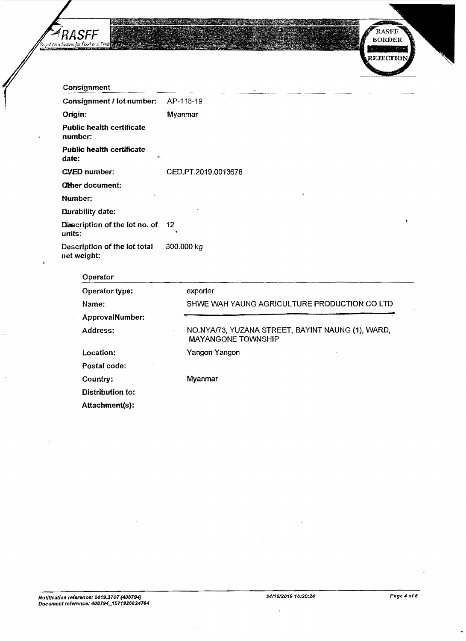



| Consignment                                                            |                                                                                |  |  |  |  |
|------------------------------------------------------------------------|--------------------------------------------------------------------------------|--|--|--|--|
| Consignment / lot number:                                              | AP-118-19                                                                      |  |  |  |  |
| Origin:                                                                | Myanmar                                                                        |  |  |  |  |
| <b>Public health certificate</b><br>number:                            |                                                                                |  |  |  |  |
| <b>Public health certificate</b><br>$\mathbf{Q} \mathbf{A}_2$<br>date: |                                                                                |  |  |  |  |
| <b>CVED</b> number:                                                    | CED.PT.2019.0013678                                                            |  |  |  |  |
| <b>Other document:</b>                                                 |                                                                                |  |  |  |  |
| Number:                                                                |                                                                                |  |  |  |  |
| Durability date:                                                       |                                                                                |  |  |  |  |
| Diescription of the lot no. of<br>units:                               | ٠<br>12                                                                        |  |  |  |  |
| Description of the lot total<br>net weight:                            | 300.000 kg                                                                     |  |  |  |  |
| Operator                                                               |                                                                                |  |  |  |  |
| Operator type:                                                         | exporter                                                                       |  |  |  |  |
| Name:                                                                  | SHWE WAH YAUNG AGRICULTURE PRODUCTION CO LTD                                   |  |  |  |  |
| ApprovalNumber:                                                        |                                                                                |  |  |  |  |
| Address:                                                               | NO.NYA/73, YUZANA STREET, BAYINT NAUNG (1), WARD,<br><b>MAYANGONE TOWNSHIP</b> |  |  |  |  |
| Location:                                                              | Yangon Yangon                                                                  |  |  |  |  |
| Postal code:                                                           |                                                                                |  |  |  |  |
| Country:                                                               | Myanmar                                                                        |  |  |  |  |

Distribution to:

Attachment(s):

 $\ddot{\phantom{a}}$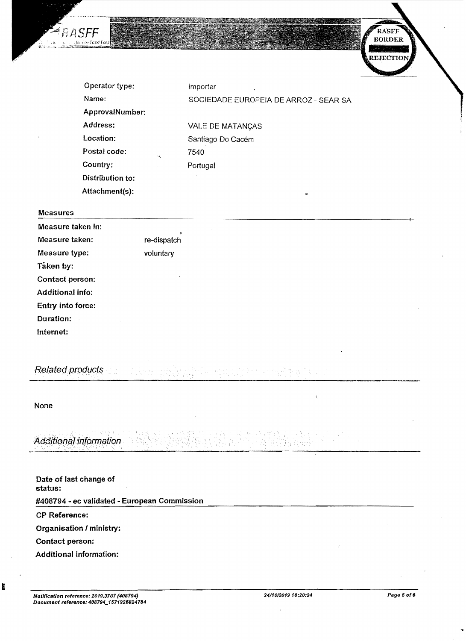

#### Measures

RASFF

: for Ferdina Fe

| <b>Measures</b>         |                            |  |  |
|-------------------------|----------------------------|--|--|
| Measure taken in:       |                            |  |  |
| Measure taken:          | $\bullet$<br>re-dispatch   |  |  |
| Measure type:           | voluntary                  |  |  |
| Taken by:               |                            |  |  |
| Contact person:         | $\mathbf{x}$               |  |  |
| <b>Additional info:</b> |                            |  |  |
| Entry into force:       |                            |  |  |
| Duration:               | $\mathcal{L}^{\text{max}}$ |  |  |
| Internet:               |                            |  |  |

经验 长达不良经

Related products

None

E

Additional information

| Date of last change of<br>status:            |  |  |  |  |
|----------------------------------------------|--|--|--|--|
| #408794 - ec validated - European Commission |  |  |  |  |
| <b>CP Reference:</b>                         |  |  |  |  |
| Organisation / ministry:                     |  |  |  |  |
| Contact person:                              |  |  |  |  |
| Additional information:                      |  |  |  |  |

六年十六五年

하는 음화 불이

RASFF

**BORDER**